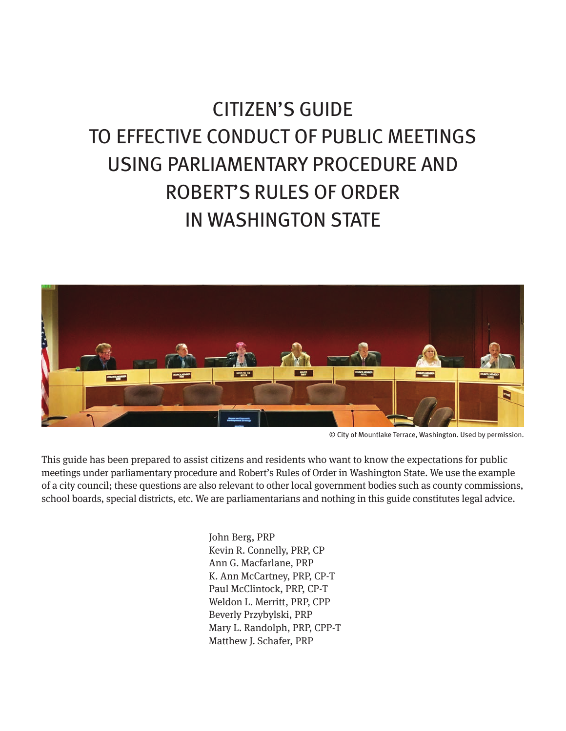# CITIZEN'S GUIDE TO EFFECTIVE CONDUCT OF PUBLIC MEETINGS USING PARLIAMENTARY PROCEDURE AND ROBERT'S RULES OF ORDER IN WASHINGTON STATE



© City of Mountlake Terrace, Washington. Used by permission.

This guide has been prepared to assist citizens and residents who want to know the expectations for public meetings under parliamentary procedure and Robert's Rules of Order in Washington State. We use the example of a city council; these questions are also relevant to other local government bodies such as county commissions, school boards, special districts, etc. We are parliamentarians and nothing in this guide constitutes legal advice.

> John Berg, PRP Kevin R. Connelly, PRP, CP Ann G. Macfarlane, PRP K. Ann McCartney, PRP, CP-T Paul McClintock, PRP, CP-T Weldon L. Merritt, PRP, CPP Beverly Przybylski, PRP Mary L. Randolph, PRP, CPP-T Matthew J. Schafer, PRP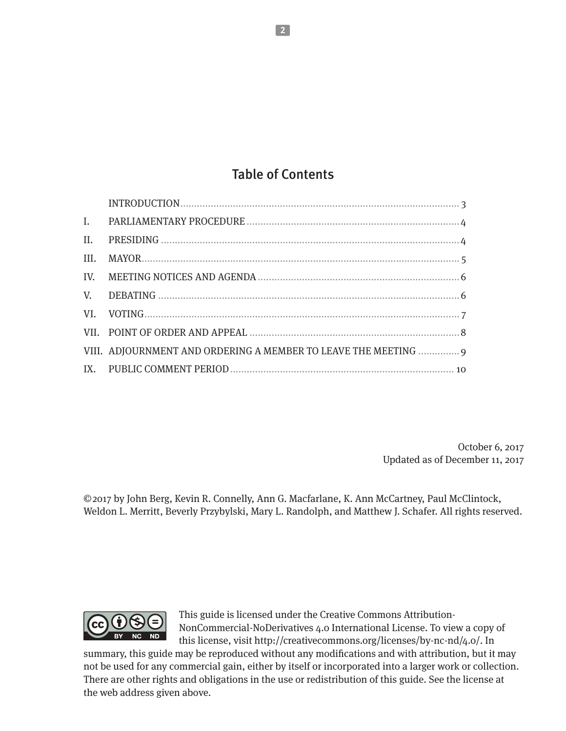# Table of Contents

| II.  |                                                                 |
|------|-----------------------------------------------------------------|
| III. |                                                                 |
|      |                                                                 |
|      |                                                                 |
|      |                                                                 |
|      |                                                                 |
|      | VIII. ADJOURNMENT AND ORDERING A MEMBER TO LEAVE THE MEETING  9 |
|      |                                                                 |

October 6, 2017 Updated as of December 11, 2017

© 2017 by John Berg, Kevin R. Connelly, Ann G. Macfarlane, K. Ann McCartney, Paul McClintock, Weldon L. Merritt, Beverly Przybylski, Mary L. Randolph, and Matthew J. Schafer. All rights reserved.



This guide is licensed under the Creative Commons Attribution-NonCommercial-NoDerivatives 4.0 International License. To view a copy of this license, visit http://creativecommons.org/licenses/by-nc-nd/4.0/. In

summary, this guide may be reproduced without any modifications and with attribution, but it may not be used for any commercial gain, either by itself or incorporated into a larger work or collection. There are other rights and obligations in the use or redistribution of this guide. See the license at the web address given above.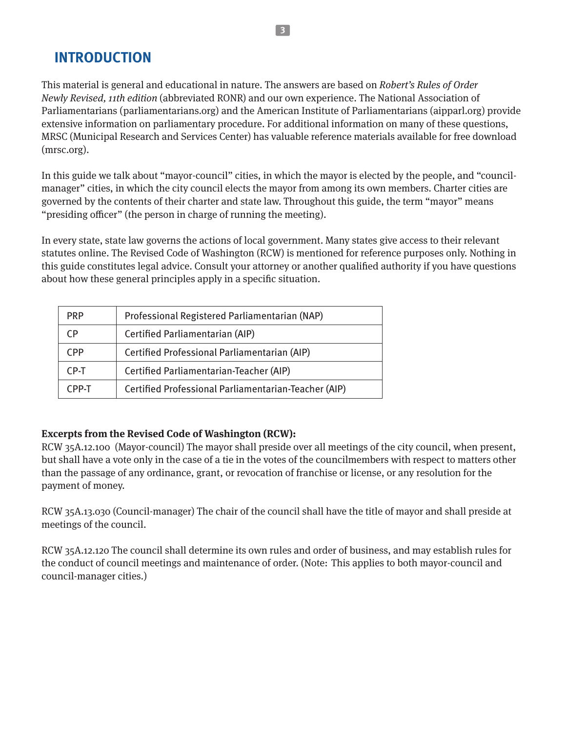**3**

# <span id="page-2-0"></span>**INTRODUCTION**

This material is general and educational in nature. The answers are based on Robert's Rules of Order Newly Revised, 11th edition (abbreviated RONR) and our own experience. The National Association of Parliamentarians (parliamentarians.org) and the American Institute of Parliamentarians (aipparl.org) provide extensive information on parliamentary procedure. For additional information on many of these questions, MRSC (Municipal Research and Services Center) has valuable reference materials available for free download (mrsc.org).

In this guide we talk about "mayor-council" cities, in which the mayor is elected by the people, and "councilmanager" cities, in which the city council elects the mayor from among its own members. Charter cities are governed by the contents of their charter and state law. Throughout this guide, the term "mayor" means "presiding officer" (the person in charge of running the meeting).

In every state, state law governs the actions of local government. Many states give access to their relevant statutes online. The Revised Code of Washington (RCW) is mentioned for reference purposes only. Nothing in this guide constitutes legal advice. Consult your attorney or another qualified authority if you have questions about how these general principles apply in a specific situation.

| <b>PRP</b> | Professional Registered Parliamentarian (NAP)        |
|------------|------------------------------------------------------|
| CР         | Certified Parliamentarian (AIP)                      |
| CPP        | Certified Professional Parliamentarian (AIP)         |
| CP-T       | Certified Parliamentarian-Teacher (AIP)              |
| CPP-T      | Certified Professional Parliamentarian-Teacher (AIP) |

# **Excerpts from the Revised Code of Washington (RCW):**

RCW 35A.12.100 (Mayor-council) The mayor shall preside over all meetings of the city council, when present, but shall have a vote only in the case of a tie in the votes of the councilmembers with respect to matters other than the passage of any ordinance, grant, or revocation of franchise or license, or any resolution for the payment of money.

RCW 35A.13.030 (Council-manager) The chair of the council shall have the title of mayor and shall preside at meetings of the council.

RCW 35A.12.120 The council shall determine its own rules and order of business, and may establish rules for the conduct of council meetings and maintenance of order. (Note: This applies to both mayor-council and council-manager cities.)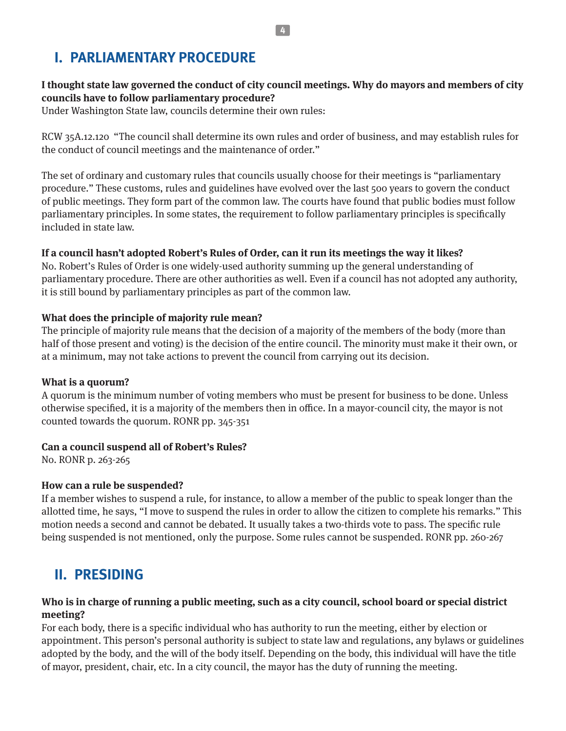# <span id="page-3-0"></span>**I. PARLIAMENTARY PROCEDURE**

# **I thought state law governed the conduct of city council meetings. Why do mayors and members of city councils have to follow parliamentary procedure?**

Under Washington State law, councils determine their own rules:

RCW 35A.12.120 "The council shall determine its own rules and order of business, and may establish rules for the conduct of council meetings and the maintenance of order."

The set of ordinary and customary rules that councils usually choose for their meetings is "parliamentary procedure." These customs, rules and guidelines have evolved over the last 500 years to govern the conduct of public meetings. They form part of the common law. The courts have found that public bodies must follow parliamentary principles. In some states, the requirement to follow parliamentary principles is specifically included in state law.

# **If a council hasn't adopted Robert's Rules of Order, can it run its meetings the way it likes?**

No. Robert's Rules of Order is one widely-used authority summing up the general understanding of parliamentary procedure. There are other authorities as well. Even if a council has not adopted any authority, it is still bound by parliamentary principles as part of the common law.

# **What does the principle of majority rule mean?**

The principle of majority rule means that the decision of a majority of the members of the body (more than half of those present and voting) is the decision of the entire council. The minority must make it their own, or at a minimum, may not take actions to prevent the council from carrying out its decision.

### **What is a quorum?**

A quorum is the minimum number of voting members who must be present for business to be done. Unless otherwise specified, it is a majority of the members then in office. In a mayor-council city, the mayor is not counted towards the quorum. RONR pp. 345-351

### **Can a council suspend all of Robert's Rules?**

No. RONR p. 263-265

### **How can a rule be suspended?**

If a member wishes to suspend a rule, for instance, to allow a member of the public to speak longer than the allotted time, he says, "I move to suspend the rules in order to allow the citizen to complete his remarks." This motion needs a second and cannot be debated. It usually takes a two-thirds vote to pass. The specific rule being suspended is not mentioned, only the purpose. Some rules cannot be suspended. RONR pp. 260-267

# **II. PRESIDING**

### **Who is in charge of running a public meeting, such as a city council, school board or special district meeting?**

For each body, there is a specific individual who has authority to run the meeting, either by election or appointment. This person's personal authority is subject to state law and regulations, any bylaws or guidelines adopted by the body, and the will of the body itself. Depending on the body, this individual will have the title of mayor, president, chair, etc. In a city council, the mayor has the duty of running the meeting.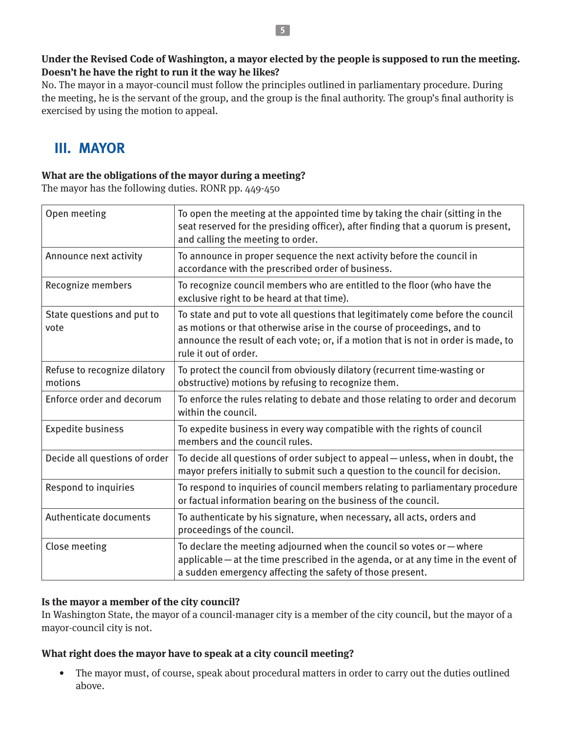#### <span id="page-4-0"></span>**Under the Revised Code of Washington, a mayor elected by the people is supposed to run the meeting. Doesn't he have the right to run it the way he likes?**

No. The mayor in a mayor-council must follow the principles outlined in parliamentary procedure. During the meeting, he is the servant of the group, and the group is the final authority. The group's final authority is exercised by using the motion to appeal.

# **III. MAYOR**

# **What are the obligations of the mayor during a meeting?**

The mayor has the following duties. RONR pp. 449-450

| Open meeting                            | To open the meeting at the appointed time by taking the chair (sitting in the<br>seat reserved for the presiding officer), after finding that a quorum is present,<br>and calling the meeting to order.                                                                    |
|-----------------------------------------|----------------------------------------------------------------------------------------------------------------------------------------------------------------------------------------------------------------------------------------------------------------------------|
| Announce next activity                  | To announce in proper sequence the next activity before the council in<br>accordance with the prescribed order of business.                                                                                                                                                |
| Recognize members                       | To recognize council members who are entitled to the floor (who have the<br>exclusive right to be heard at that time).                                                                                                                                                     |
| State questions and put to<br>vote      | To state and put to vote all questions that legitimately come before the council<br>as motions or that otherwise arise in the course of proceedings, and to<br>announce the result of each vote; or, if a motion that is not in order is made, to<br>rule it out of order. |
| Refuse to recognize dilatory<br>motions | To protect the council from obviously dilatory (recurrent time-wasting or<br>obstructive) motions by refusing to recognize them.                                                                                                                                           |
| Enforce order and decorum               | To enforce the rules relating to debate and those relating to order and decorum<br>within the council.                                                                                                                                                                     |
| <b>Expedite business</b>                | To expedite business in every way compatible with the rights of council<br>members and the council rules.                                                                                                                                                                  |
| Decide all questions of order           | To decide all questions of order subject to appeal – unless, when in doubt, the<br>mayor prefers initially to submit such a question to the council for decision.                                                                                                          |
| Respond to inquiries                    | To respond to inquiries of council members relating to parliamentary procedure<br>or factual information bearing on the business of the council.                                                                                                                           |
| Authenticate documents                  | To authenticate by his signature, when necessary, all acts, orders and<br>proceedings of the council.                                                                                                                                                                      |
| Close meeting                           | To declare the meeting adjourned when the council so votes or $-$ where<br>applicable – at the time prescribed in the agenda, or at any time in the event of<br>a sudden emergency affecting the safety of those present.                                                  |

### **Is the mayor a member of the city council?**

In Washington State, the mayor of a council-manager city is a member of the city council, but the mayor of a mayor-council city is not.

### **What right does the mayor have to speak at a city council meeting?**

• The mayor must, of course, speak about procedural matters in order to carry out the duties outlined above.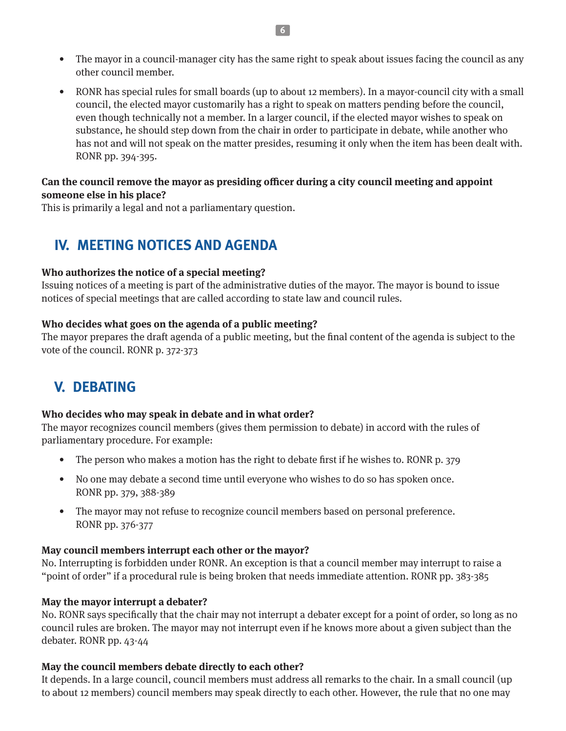- <span id="page-5-0"></span>• The mayor in a council-manager city has the same right to speak about issues facing the council as any other council member.
- RONR has special rules for small boards (up to about 12 members). In a mayor-council city with a small council, the elected mayor customarily has a right to speak on matters pending before the council, even though technically not a member. In a larger council, if the elected mayor wishes to speak on substance, he should step down from the chair in order to participate in debate, while another who has not and will not speak on the matter presides, resuming it only when the item has been dealt with. RONR pp. 394-395.

#### **Can the council remove the mayor as presiding officer during a city council meeting and appoint someone else in his place?**

This is primarily a legal and not a parliamentary question.

# **IV. MEETING NOTICES AND AGENDA**

#### **Who authorizes the notice of a special meeting?**

Issuing notices of a meeting is part of the administrative duties of the mayor. The mayor is bound to issue notices of special meetings that are called according to state law and council rules.

#### **Who decides what goes on the agenda of a public meeting?**

The mayor prepares the draft agenda of a public meeting, but the final content of the agenda is subject to the vote of the council. RONR p. 372-373

# **V. DEBATING**

#### **Who decides who may speak in debate and in what order?**

The mayor recognizes council members (gives them permission to debate) in accord with the rules of parliamentary procedure. For example:

- The person who makes a motion has the right to debate first if he wishes to. RONR p. 379
- No one may debate a second time until everyone who wishes to do so has spoken once. RONR pp. 379, 388-389
- The mayor may not refuse to recognize council members based on personal preference. RONR pp. 376-377

#### **May council members interrupt each other or the mayor?**

No. Interrupting is forbidden under RONR. An exception is that a council member may interrupt to raise a "point of order" if a procedural rule is being broken that needs immediate attention. RONR pp. 383-385

#### **May the mayor interrupt a debater?**

No. RONR says specifically that the chair may not interrupt a debater except for a point of order, so long as no council rules are broken. The mayor may not interrupt even if he knows more about a given subject than the debater. RONR pp. 43-44

#### **May the council members debate directly to each other?**

It depends. In a large council, council members must address all remarks to the chair. In a small council (up to about 12 members) council members may speak directly to each other. However, the rule that no one may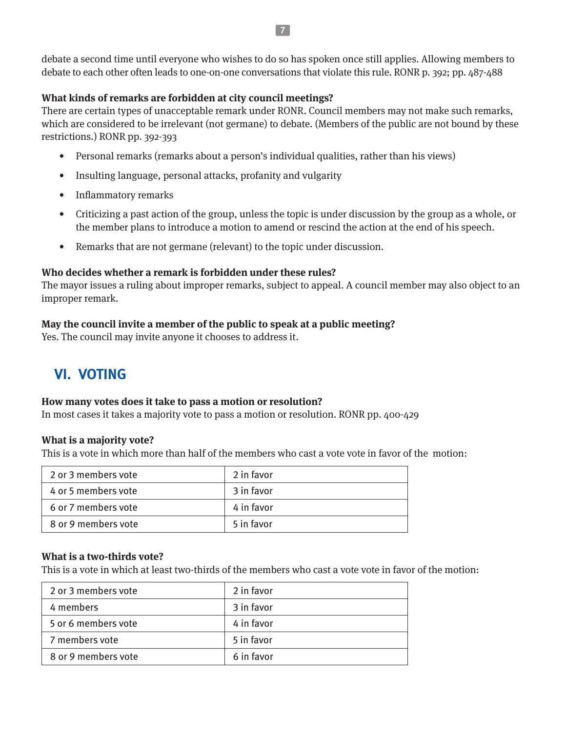<span id="page-6-0"></span>debate a second time until everyone who wishes to do so has spoken once still applies. Allowing members to debate to each other often leads to one-on-one conversations that violate this rule. RONR p. 392; pp. 487-488

#### **What kinds of remarks are forbidden at city council meetings?**

There are certain types of unacceptable remark under RONR. Council members may not make such remarks, which are considered to be irrelevant (not germane) to debate. (Members of the public are not bound by these restrictions.) RONR pp. 392-393

- Personal remarks (remarks about a person's individual qualities, rather than his views)
- Insulting language, personal attacks, profanity and vulgarity
- Inflammatory remarks
- Criticizing a past action of the group, unless the topic is under discussion by the group as a whole, or the member plans to introduce a motion to amend or rescind the action at the end of his speech.
- Remarks that are not germane (relevant) to the topic under discussion.

#### **Who decides whether a remark is forbidden under these rules?**

The mayor issues a ruling about improper remarks, subject to appeal. A council member may also object to an improper remark.

#### **May the council invite a member of the public to speak at a public meeting?**

Yes. The council may invite anyone it chooses to address it.

# **VI. VOTING**

#### **How many votes does it take to pass a motion or resolution?**

In most cases it takes a majority vote to pass a motion or resolution. RONR pp. 400-429

#### **What is a majority vote?**

This is a vote in which more than half of the members who cast a vote vote in favor of the motion:

| 2 or 3 members vote | 2 in favor |
|---------------------|------------|
| 4 or 5 members vote | 3 in favor |
| 6 or 7 members vote | 4 in favor |
| 8 or 9 members vote | 5 in favor |

#### **What is a two-thirds vote?**

This is a vote in which at least two-thirds of the members who cast a vote vote in favor of the motion:

| 2 or 3 members vote | 2 in favor |
|---------------------|------------|
| 4 members           | 3 in favor |
| 5 or 6 members vote | 4 in favor |
| 7 members vote      | 5 in favor |
| 8 or 9 members vote | 6 in favor |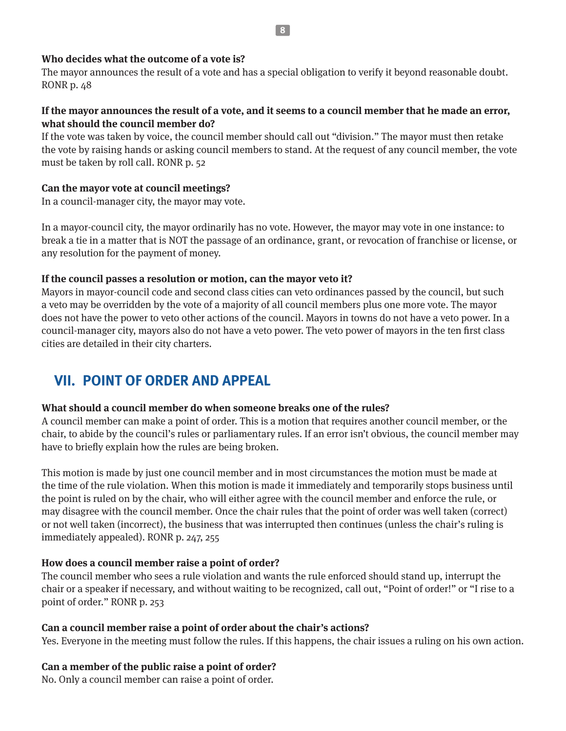#### **8**

#### <span id="page-7-0"></span>**Who decides what the outcome of a vote is?**

The mayor announces the result of a vote and has a special obligation to verify it beyond reasonable doubt. RONR p. 48

### **If the mayor announces the result of a vote, and it seems to a council member that he made an error, what should the council member do?**

If the vote was taken by voice, the council member should call out "division." The mayor must then retake the vote by raising hands or asking council members to stand. At the request of any council member, the vote must be taken by roll call. RONR p. 52

#### **Can the mayor vote at council meetings?**

In a council-manager city, the mayor may vote.

In a mayor-council city, the mayor ordinarily has no vote. However, the mayor may vote in one instance: to break a tie in a matter that is NOT the passage of an ordinance, grant, or revocation of franchise or license, or any resolution for the payment of money.

#### **If the council passes a resolution or motion, can the mayor veto it?**

Mayors in mayor-council code and second class cities can veto ordinances passed by the council, but such a veto may be overridden by the vote of a majority of all council members plus one more vote. The mayor does not have the power to veto other actions of the council. Mayors in towns do not have a veto power. In a council-manager city, mayors also do not have a veto power. The veto power of mayors in the ten first class cities are detailed in their city charters.

# **VII. POINT OF ORDER AND APPEAL**

#### **What should a council member do when someone breaks one of the rules?**

A council member can make a point of order. This is a motion that requires another council member, or the chair, to abide by the council's rules or parliamentary rules. If an error isn't obvious, the council member may have to briefly explain how the rules are being broken.

This motion is made by just one council member and in most circumstances the motion must be made at the time of the rule violation. When this motion is made it immediately and temporarily stops business until the point is ruled on by the chair, who will either agree with the council member and enforce the rule, or may disagree with the council member. Once the chair rules that the point of order was well taken (correct) or not well taken (incorrect), the business that was interrupted then continues (unless the chair's ruling is immediately appealed). RONR p. 247, 255

#### **How does a council member raise a point of order?**

The council member who sees a rule violation and wants the rule enforced should stand up, interrupt the chair or a speaker if necessary, and without waiting to be recognized, call out, "Point of order!" or "I rise to a point of order." RONR p. 253

#### **Can a council member raise a point of order about the chair's actions?**

Yes. Everyone in the meeting must follow the rules. If this happens, the chair issues a ruling on his own action.

### **Can a member of the public raise a point of order?**

No. Only a council member can raise a point of order.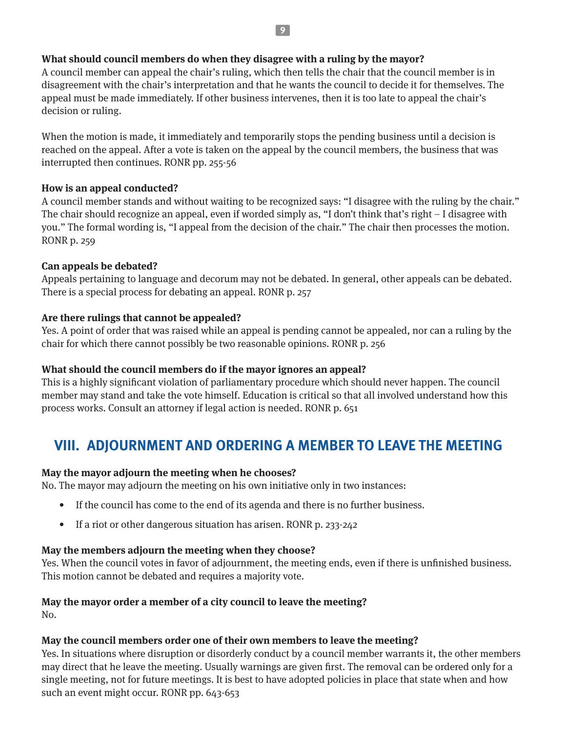#### <span id="page-8-0"></span>**What should council members do when they disagree with a ruling by the mayor?**

A council member can appeal the chair's ruling, which then tells the chair that the council member is in disagreement with the chair's interpretation and that he wants the council to decide it for themselves. The appeal must be made immediately. If other business intervenes, then it is too late to appeal the chair's decision or ruling.

When the motion is made, it immediately and temporarily stops the pending business until a decision is reached on the appeal. After a vote is taken on the appeal by the council members, the business that was interrupted then continues. RONR pp. 255-56

#### **How is an appeal conducted?**

A council member stands and without waiting to be recognized says: "I disagree with the ruling by the chair." The chair should recognize an appeal, even if worded simply as, "I don't think that's right – I disagree with you." The formal wording is, "I appeal from the decision of the chair." The chair then processes the motion. RONR p. 259

#### **Can appeals be debated?**

Appeals pertaining to language and decorum may not be debated. In general, other appeals can be debated. There is a special process for debating an appeal. RONR p. 257

#### **Are there rulings that cannot be appealed?**

Yes. A point of order that was raised while an appeal is pending cannot be appealed, nor can a ruling by the chair for which there cannot possibly be two reasonable opinions. RONR p. 256

#### **What should the council members do if the mayor ignores an appeal?**

This is a highly significant violation of parliamentary procedure which should never happen. The council member may stand and take the vote himself. Education is critical so that all involved understand how this process works. Consult an attorney if legal action is needed. RONR p. 651

# **VIII. ADJOURNMENT AND ORDERING A MEMBER TO LEAVE THE MEETING**

#### **May the mayor adjourn the meeting when he chooses?**

No. The mayor may adjourn the meeting on his own initiative only in two instances:

- If the council has come to the end of its agenda and there is no further business.
- If a riot or other dangerous situation has arisen. RONR p. 233-242

#### **May the members adjourn the meeting when they choose?**

Yes. When the council votes in favor of adjournment, the meeting ends, even if there is unfinished business. This motion cannot be debated and requires a majority vote.

#### **May the mayor order a member of a city council to leave the meeting?**

No.

#### **May the council members order one of their own members to leave the meeting?**

Yes. In situations where disruption or disorderly conduct by a council member warrants it, the other members may direct that he leave the meeting. Usually warnings are given first. The removal can be ordered only for a single meeting, not for future meetings. It is best to have adopted policies in place that state when and how such an event might occur. RONR pp. 643-653